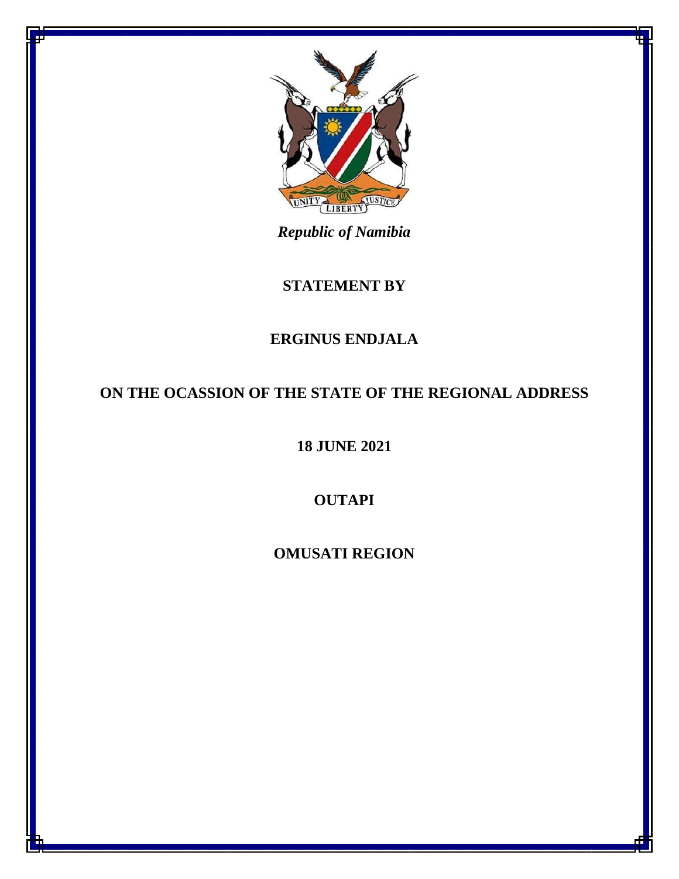

*Republic of Namibia*

## **STATEMENT BY**

## **ERGINUS ENDJALA**

## **ON THE OCASSION OF THE STATE OF THE REGIONAL ADDRESS**

**18 JUNE 2021**

**OUTAPI**

**OMUSATI REGION**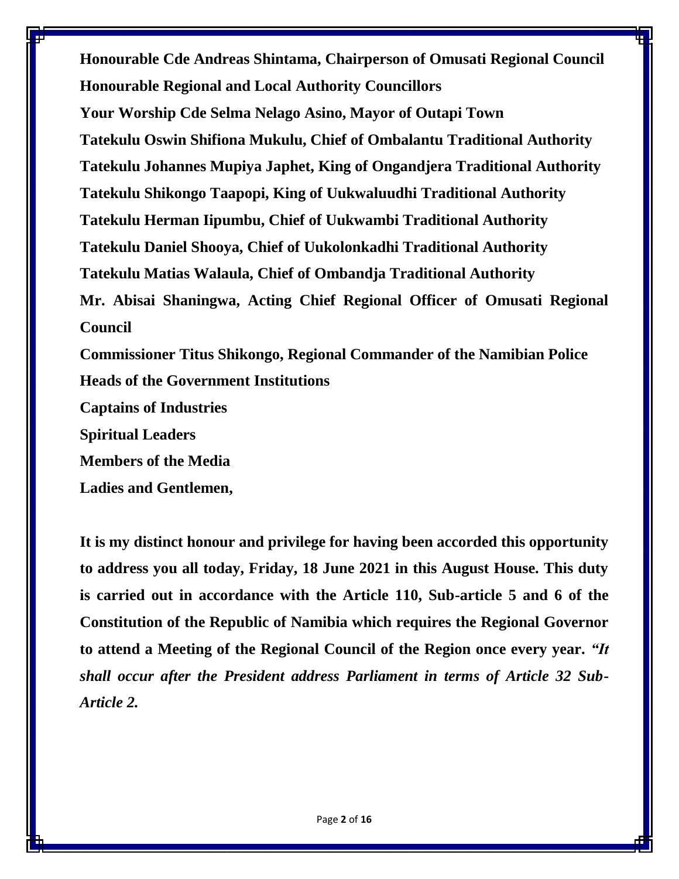**Honourable Cde Andreas Shintama, Chairperson of Omusati Regional Council Honourable Regional and Local Authority Councillors Your Worship Cde Selma Nelago Asino, Mayor of Outapi Town Tatekulu Oswin Shifiona Mukulu, Chief of Ombalantu Traditional Authority Tatekulu Johannes Mupiya Japhet, King of Ongandjera Traditional Authority Tatekulu Shikongo Taapopi, King of Uukwaluudhi Traditional Authority Tatekulu Herman Iipumbu, Chief of Uukwambi Traditional Authority Tatekulu Daniel Shooya, Chief of Uukolonkadhi Traditional Authority Tatekulu Matias Walaula, Chief of Ombandja Traditional Authority Mr. Abisai Shaningwa, Acting Chief Regional Officer of Omusati Regional Council Commissioner Titus Shikongo, Regional Commander of the Namibian Police Heads of the Government Institutions Captains of Industries**

**Spiritual Leaders** 

**Members of the Media**

**Ladies and Gentlemen,**

**It is my distinct honour and privilege for having been accorded this opportunity to address you all today, Friday, 18 June 2021 in this August House. This duty is carried out in accordance with the Article 110, Sub-article 5 and 6 of the Constitution of the Republic of Namibia which requires the Regional Governor to attend a Meeting of the Regional Council of the Region once every year.** *"It shall occur after the President address Parliament in terms of Article 32 Sub-Article 2.*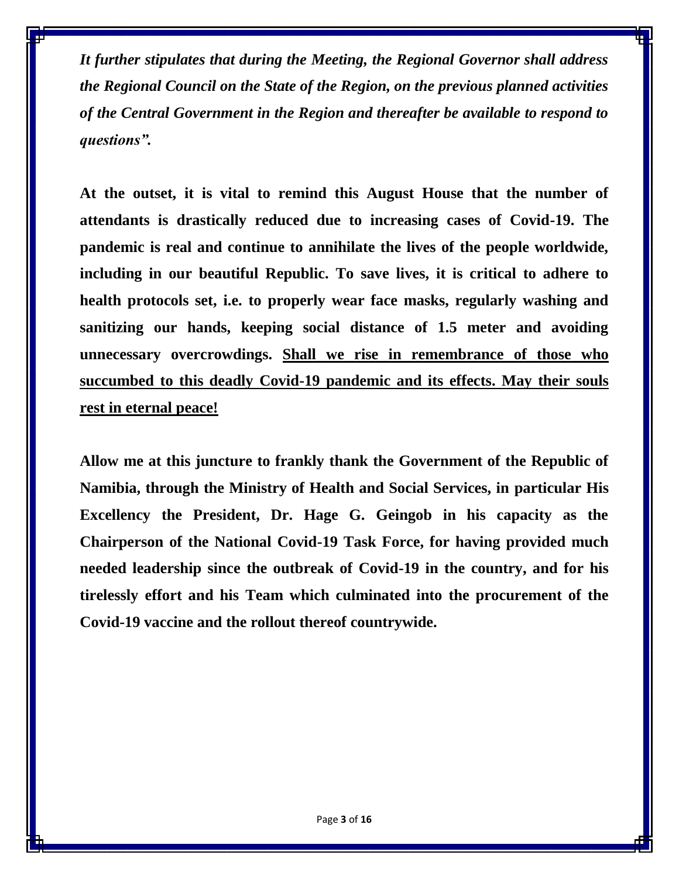*It further stipulates that during the Meeting, the Regional Governor shall address the Regional Council on the State of the Region, on the previous planned activities of the Central Government in the Region and thereafter be available to respond to questions".* 

**At the outset, it is vital to remind this August House that the number of attendants is drastically reduced due to increasing cases of Covid-19. The pandemic is real and continue to annihilate the lives of the people worldwide, including in our beautiful Republic. To save lives, it is critical to adhere to health protocols set, i.e. to properly wear face masks, regularly washing and sanitizing our hands, keeping social distance of 1.5 meter and avoiding unnecessary overcrowdings. Shall we rise in remembrance of those who succumbed to this deadly Covid-19 pandemic and its effects. May their souls rest in eternal peace!** 

**Allow me at this juncture to frankly thank the Government of the Republic of Namibia, through the Ministry of Health and Social Services, in particular His Excellency the President, Dr. Hage G. Geingob in his capacity as the Chairperson of the National Covid-19 Task Force, for having provided much needed leadership since the outbreak of Covid-19 in the country, and for his tirelessly effort and his Team which culminated into the procurement of the Covid-19 vaccine and the rollout thereof countrywide.**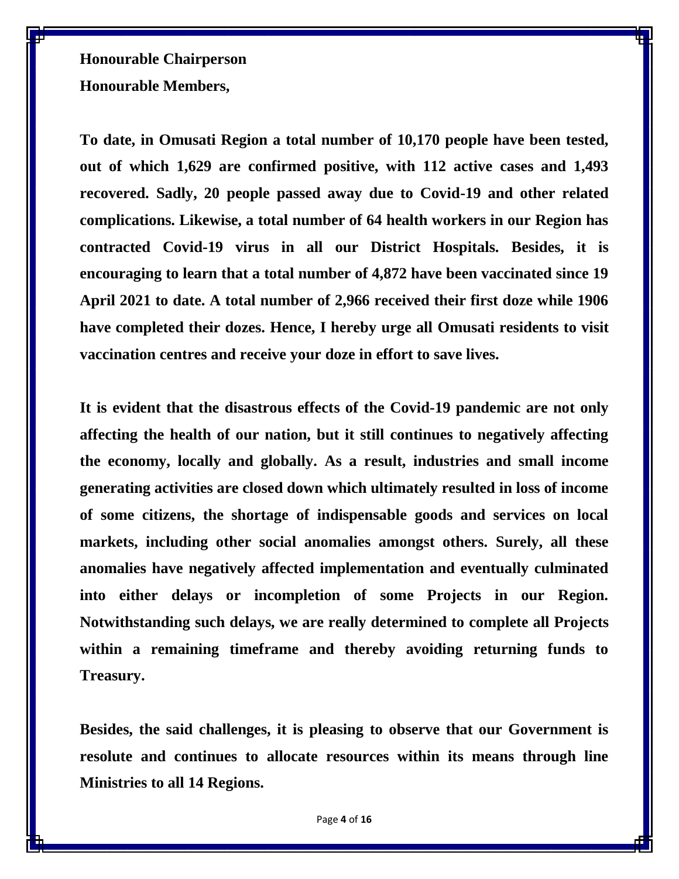**Honourable Chairperson Honourable Members,**

**To date, in Omusati Region a total number of 10,170 people have been tested, out of which 1,629 are confirmed positive, with 112 active cases and 1,493 recovered. Sadly, 20 people passed away due to Covid-19 and other related complications. Likewise, a total number of 64 health workers in our Region has contracted Covid-19 virus in all our District Hospitals. Besides, it is encouraging to learn that a total number of 4,872 have been vaccinated since 19 April 2021 to date. A total number of 2,966 received their first doze while 1906 have completed their dozes. Hence, I hereby urge all Omusati residents to visit vaccination centres and receive your doze in effort to save lives.** 

**It is evident that the disastrous effects of the Covid-19 pandemic are not only affecting the health of our nation, but it still continues to negatively affecting the economy, locally and globally. As a result, industries and small income generating activities are closed down which ultimately resulted in loss of income of some citizens, the shortage of indispensable goods and services on local markets, including other social anomalies amongst others. Surely, all these anomalies have negatively affected implementation and eventually culminated into either delays or incompletion of some Projects in our Region. Notwithstanding such delays, we are really determined to complete all Projects within a remaining timeframe and thereby avoiding returning funds to Treasury.**

**Besides, the said challenges, it is pleasing to observe that our Government is resolute and continues to allocate resources within its means through line Ministries to all 14 Regions.**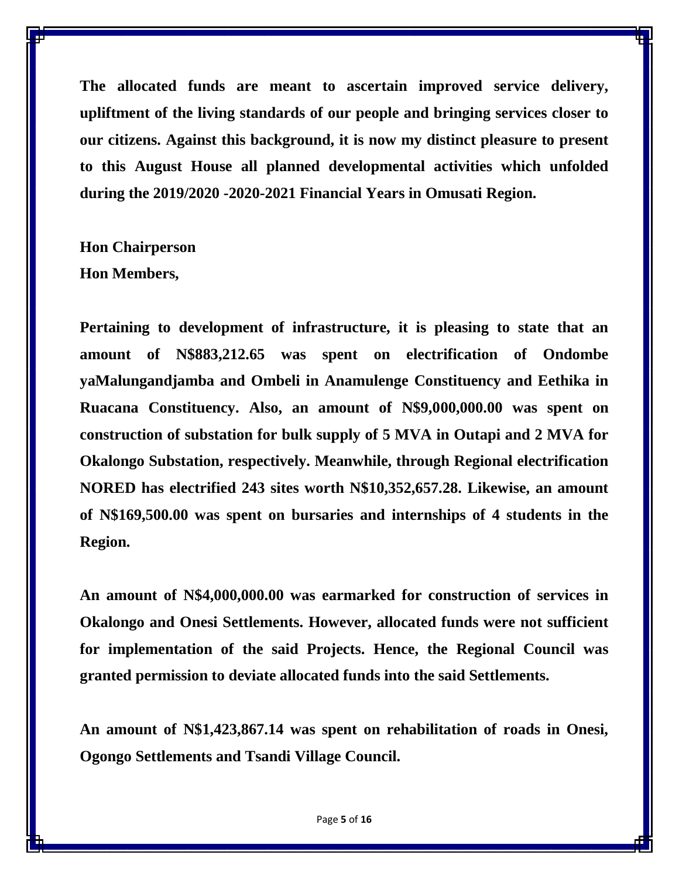**The allocated funds are meant to ascertain improved service delivery, upliftment of the living standards of our people and bringing services closer to our citizens. Against this background, it is now my distinct pleasure to present to this August House all planned developmental activities which unfolded during the 2019/2020 -2020-2021 Financial Years in Omusati Region.**

**Hon Chairperson Hon Members,**

**Pertaining to development of infrastructure, it is pleasing to state that an amount of N\$883,212.65 was spent on electrification of Ondombe yaMalungandjamba and Ombeli in Anamulenge Constituency and Eethika in Ruacana Constituency. Also, an amount of N\$9,000,000.00 was spent on construction of substation for bulk supply of 5 MVA in Outapi and 2 MVA for Okalongo Substation, respectively. Meanwhile, through Regional electrification NORED has electrified 243 sites worth N\$10,352,657.28. Likewise, an amount of N\$169,500.00 was spent on bursaries and internships of 4 students in the Region.** 

**An amount of N\$4,000,000.00 was earmarked for construction of services in Okalongo and Onesi Settlements. However, allocated funds were not sufficient for implementation of the said Projects. Hence, the Regional Council was granted permission to deviate allocated funds into the said Settlements.**

**An amount of N\$1,423,867.14 was spent on rehabilitation of roads in Onesi, Ogongo Settlements and Tsandi Village Council.**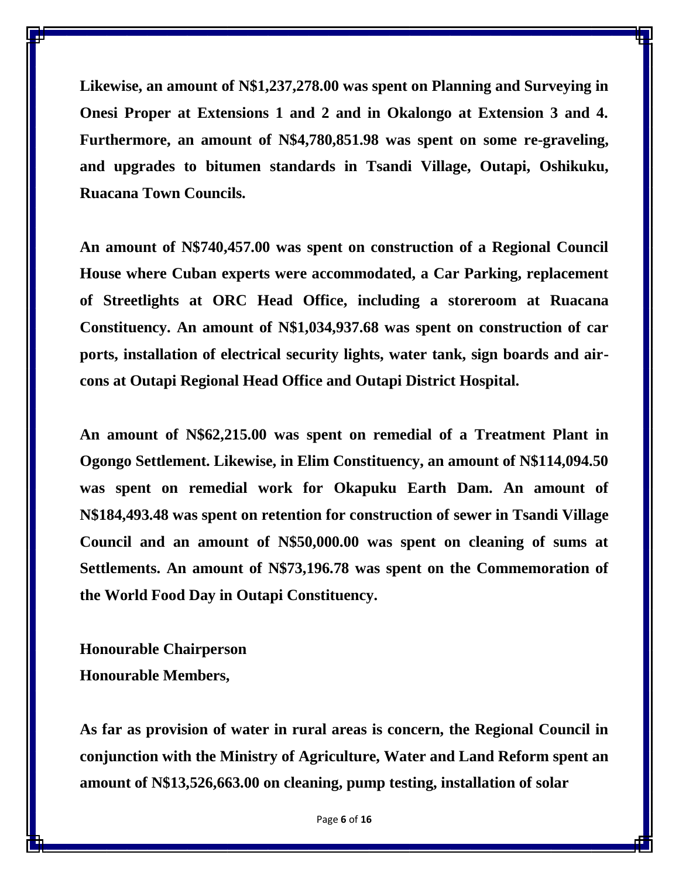**Likewise, an amount of N\$1,237,278.00 was spent on Planning and Surveying in Onesi Proper at Extensions 1 and 2 and in Okalongo at Extension 3 and 4. Furthermore, an amount of N\$4,780,851.98 was spent on some re-graveling, and upgrades to bitumen standards in Tsandi Village, Outapi, Oshikuku, Ruacana Town Councils.** 

**An amount of N\$740,457.00 was spent on construction of a Regional Council House where Cuban experts were accommodated, a Car Parking, replacement of Streetlights at ORC Head Office, including a storeroom at Ruacana Constituency. An amount of N\$1,034,937.68 was spent on construction of car ports, installation of electrical security lights, water tank, sign boards and aircons at Outapi Regional Head Office and Outapi District Hospital.** 

**An amount of N\$62,215.00 was spent on remedial of a Treatment Plant in Ogongo Settlement. Likewise, in Elim Constituency, an amount of N\$114,094.50 was spent on remedial work for Okapuku Earth Dam. An amount of N\$184,493.48 was spent on retention for construction of sewer in Tsandi Village Council and an amount of N\$50,000.00 was spent on cleaning of sums at Settlements. An amount of N\$73,196.78 was spent on the Commemoration of the World Food Day in Outapi Constituency.** 

**Honourable Chairperson Honourable Members,**

**As far as provision of water in rural areas is concern, the Regional Council in conjunction with the Ministry of Agriculture, Water and Land Reform spent an amount of N\$13,526,663.00 on cleaning, pump testing, installation of solar**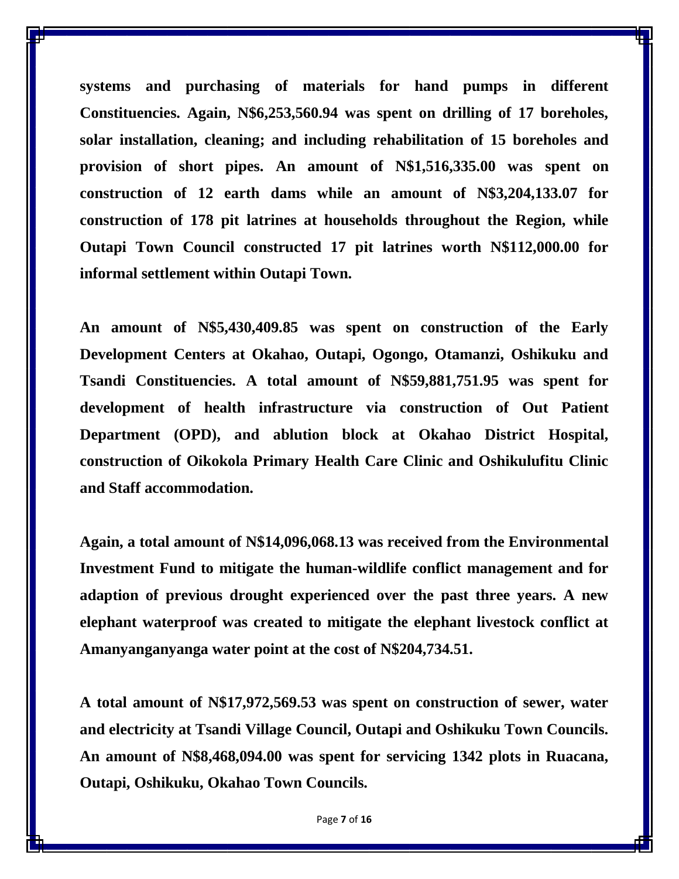**systems and purchasing of materials for hand pumps in different Constituencies. Again, N\$6,253,560.94 was spent on drilling of 17 boreholes, solar installation, cleaning; and including rehabilitation of 15 boreholes and provision of short pipes. An amount of N\$1,516,335.00 was spent on construction of 12 earth dams while an amount of N\$3,204,133.07 for construction of 178 pit latrines at households throughout the Region, while Outapi Town Council constructed 17 pit latrines worth N\$112,000.00 for informal settlement within Outapi Town.** 

**An amount of N\$5,430,409.85 was spent on construction of the Early Development Centers at Okahao, Outapi, Ogongo, Otamanzi, Oshikuku and Tsandi Constituencies. A total amount of N\$59,881,751.95 was spent for development of health infrastructure via construction of Out Patient Department (OPD), and ablution block at Okahao District Hospital, construction of Oikokola Primary Health Care Clinic and Oshikulufitu Clinic and Staff accommodation.** 

**Again, a total amount of N\$14,096,068.13 was received from the Environmental Investment Fund to mitigate the human-wildlife conflict management and for adaption of previous drought experienced over the past three years. A new elephant waterproof was created to mitigate the elephant livestock conflict at Amanyanganyanga water point at the cost of N\$204,734.51.**

**A total amount of N\$17,972,569.53 was spent on construction of sewer, water and electricity at Tsandi Village Council, Outapi and Oshikuku Town Councils. An amount of N\$8,468,094.00 was spent for servicing 1342 plots in Ruacana, Outapi, Oshikuku, Okahao Town Councils.**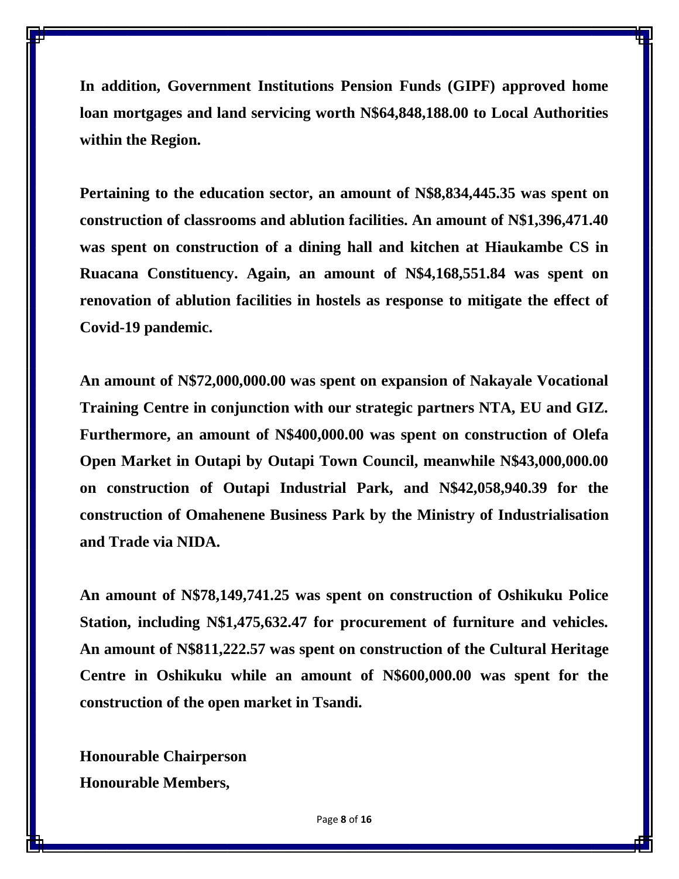**In addition, Government Institutions Pension Funds (GIPF) approved home loan mortgages and land servicing worth N\$64,848,188.00 to Local Authorities within the Region.** 

**Pertaining to the education sector, an amount of N\$8,834,445.35 was spent on construction of classrooms and ablution facilities. An amount of N\$1,396,471.40 was spent on construction of a dining hall and kitchen at Hiaukambe CS in Ruacana Constituency. Again, an amount of N\$4,168,551.84 was spent on renovation of ablution facilities in hostels as response to mitigate the effect of Covid-19 pandemic.** 

**An amount of N\$72,000,000.00 was spent on expansion of Nakayale Vocational Training Centre in conjunction with our strategic partners NTA, EU and GIZ. Furthermore, an amount of N\$400,000.00 was spent on construction of Olefa Open Market in Outapi by Outapi Town Council, meanwhile N\$43,000,000.00 on construction of Outapi Industrial Park, and N\$42,058,940.39 for the construction of Omahenene Business Park by the Ministry of Industrialisation and Trade via NIDA.**

**An amount of N\$78,149,741.25 was spent on construction of Oshikuku Police Station, including N\$1,475,632.47 for procurement of furniture and vehicles. An amount of N\$811,222.57 was spent on construction of the Cultural Heritage Centre in Oshikuku while an amount of N\$600,000.00 was spent for the construction of the open market in Tsandi.** 

**Honourable Chairperson Honourable Members,**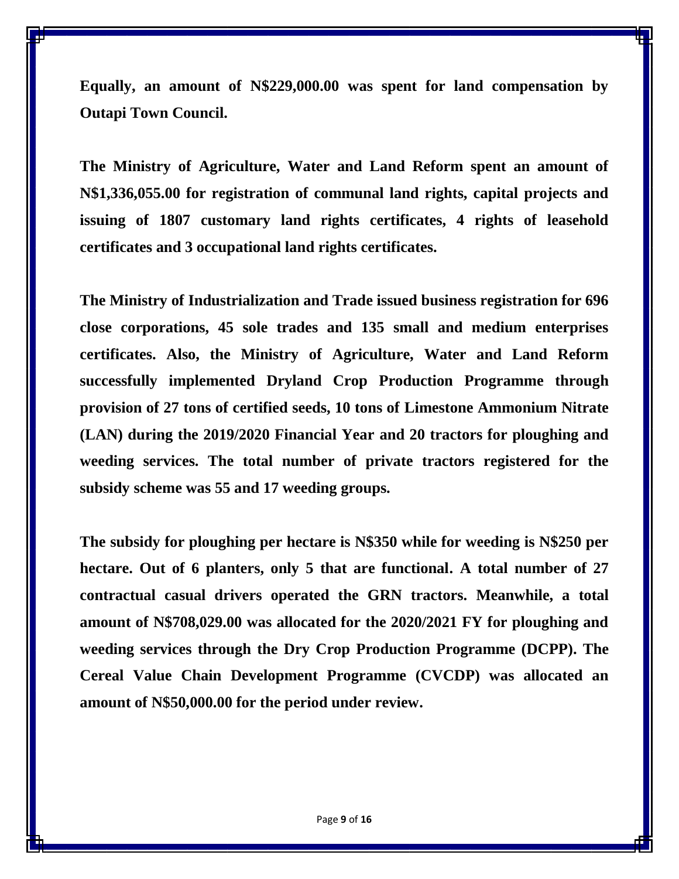**Equally, an amount of N\$229,000.00 was spent for land compensation by Outapi Town Council.** 

**The Ministry of Agriculture, Water and Land Reform spent an amount of N\$1,336,055.00 for registration of communal land rights, capital projects and issuing of 1807 customary land rights certificates, 4 rights of leasehold certificates and 3 occupational land rights certificates.**

**The Ministry of Industrialization and Trade issued business registration for 696 close corporations, 45 sole trades and 135 small and medium enterprises certificates. Also, the Ministry of Agriculture, Water and Land Reform successfully implemented Dryland Crop Production Programme through provision of 27 tons of certified seeds, 10 tons of Limestone Ammonium Nitrate (LAN) during the 2019/2020 Financial Year and 20 tractors for ploughing and weeding services. The total number of private tractors registered for the subsidy scheme was 55 and 17 weeding groups.** 

**The subsidy for ploughing per hectare is N\$350 while for weeding is N\$250 per hectare. Out of 6 planters, only 5 that are functional. A total number of 27 contractual casual drivers operated the GRN tractors. Meanwhile, a total amount of N\$708,029.00 was allocated for the 2020/2021 FY for ploughing and weeding services through the Dry Crop Production Programme (DCPP). The Cereal Value Chain Development Programme (CVCDP) was allocated an amount of N\$50,000.00 for the period under review.**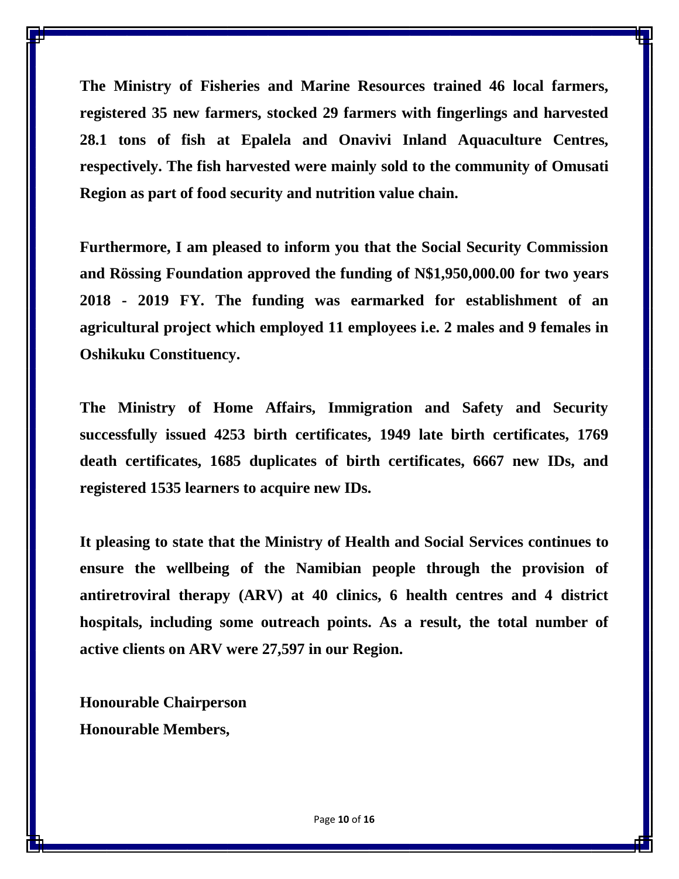**The Ministry of Fisheries and Marine Resources trained 46 local farmers, registered 35 new farmers, stocked 29 farmers with fingerlings and harvested 28.1 tons of fish at Epalela and Onavivi Inland Aquaculture Centres, respectively. The fish harvested were mainly sold to the community of Omusati Region as part of food security and nutrition value chain.** 

**Furthermore, I am pleased to inform you that the Social Security Commission and Rössing Foundation approved the funding of N\$1,950,000.00 for two years 2018 - 2019 FY. The funding was earmarked for establishment of an agricultural project which employed 11 employees i.e. 2 males and 9 females in Oshikuku Constituency.**

**The Ministry of Home Affairs, Immigration and Safety and Security successfully issued 4253 birth certificates, 1949 late birth certificates, 1769 death certificates, 1685 duplicates of birth certificates, 6667 new IDs, and registered 1535 learners to acquire new IDs.**

**It pleasing to state that the Ministry of Health and Social Services continues to ensure the wellbeing of the Namibian people through the provision of antiretroviral therapy (ARV) at 40 clinics, 6 health centres and 4 district hospitals, including some outreach points. As a result, the total number of active clients on ARV were 27,597 in our Region.** 

**Honourable Chairperson Honourable Members,**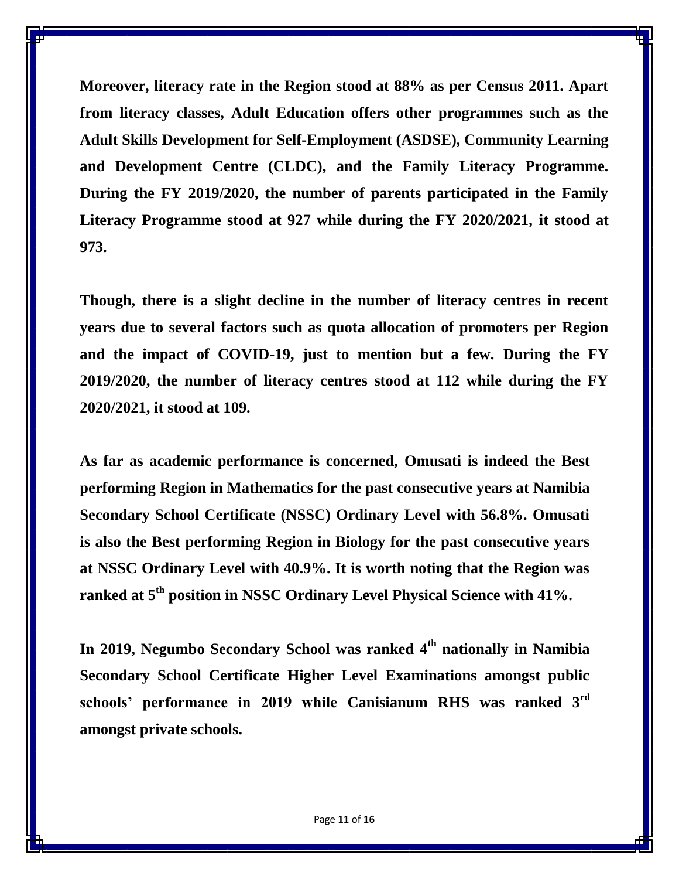**Moreover, literacy rate in the Region stood at 88% as per Census 2011. Apart from literacy classes, Adult Education offers other programmes such as the Adult Skills Development for Self-Employment (ASDSE), Community Learning and Development Centre (CLDC), and the Family Literacy Programme. During the FY 2019/2020, the number of parents participated in the Family Literacy Programme stood at 927 while during the FY 2020/2021, it stood at 973.** 

**Though, there is a slight decline in the number of literacy centres in recent years due to several factors such as quota allocation of promoters per Region and the impact of COVID-19, just to mention but a few. During the FY 2019/2020, the number of literacy centres stood at 112 while during the FY 2020/2021, it stood at 109.** 

**As far as academic performance is concerned, Omusati is indeed the Best performing Region in Mathematics for the past consecutive years at Namibia Secondary School Certificate (NSSC) Ordinary Level with 56.8%. Omusati is also the Best performing Region in Biology for the past consecutive years at NSSC Ordinary Level with 40.9%. It is worth noting that the Region was ranked at 5th position in NSSC Ordinary Level Physical Science with 41%.**

**In 2019, Negumbo Secondary School was ranked 4th nationally in Namibia Secondary School Certificate Higher Level Examinations amongst public schools' performance in 2019 while Canisianum RHS was ranked 3rd amongst private schools.**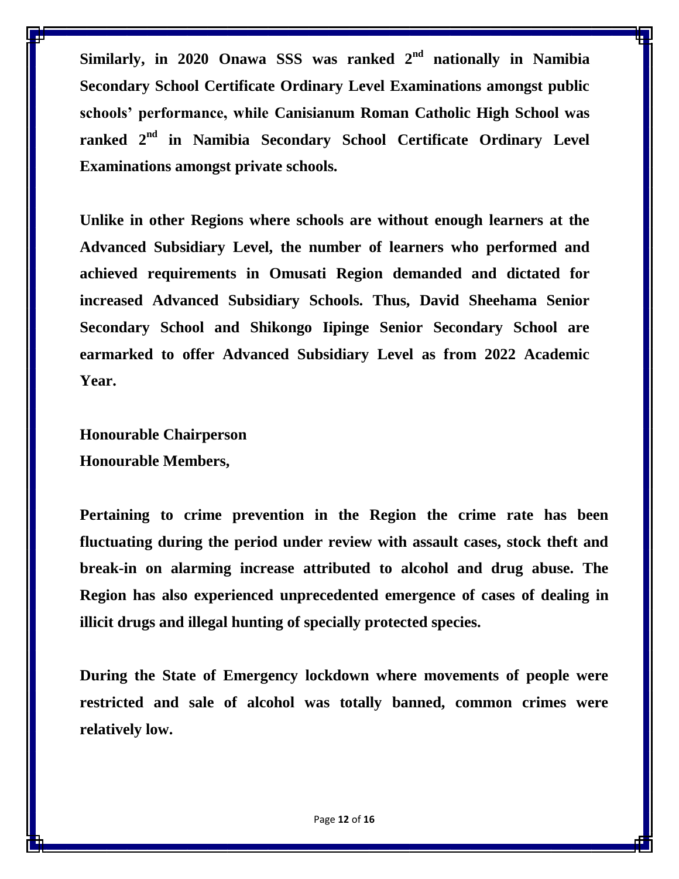**Similarly, in 2020 Onawa SSS was ranked 2nd nationally in Namibia Secondary School Certificate Ordinary Level Examinations amongst public schools' performance, while Canisianum Roman Catholic High School was ranked 2 nd in Namibia Secondary School Certificate Ordinary Level Examinations amongst private schools.**

**Unlike in other Regions where schools are without enough learners at the Advanced Subsidiary Level, the number of learners who performed and achieved requirements in Omusati Region demanded and dictated for increased Advanced Subsidiary Schools. Thus, David Sheehama Senior Secondary School and Shikongo Iipinge Senior Secondary School are earmarked to offer Advanced Subsidiary Level as from 2022 Academic Year.** 

**Honourable Chairperson Honourable Members,**

**Pertaining to crime prevention in the Region the crime rate has been fluctuating during the period under review with assault cases, stock theft and break-in on alarming increase attributed to alcohol and drug abuse. The Region has also experienced unprecedented emergence of cases of dealing in illicit drugs and illegal hunting of specially protected species.** 

**During the State of Emergency lockdown where movements of people were restricted and sale of alcohol was totally banned, common crimes were relatively low.**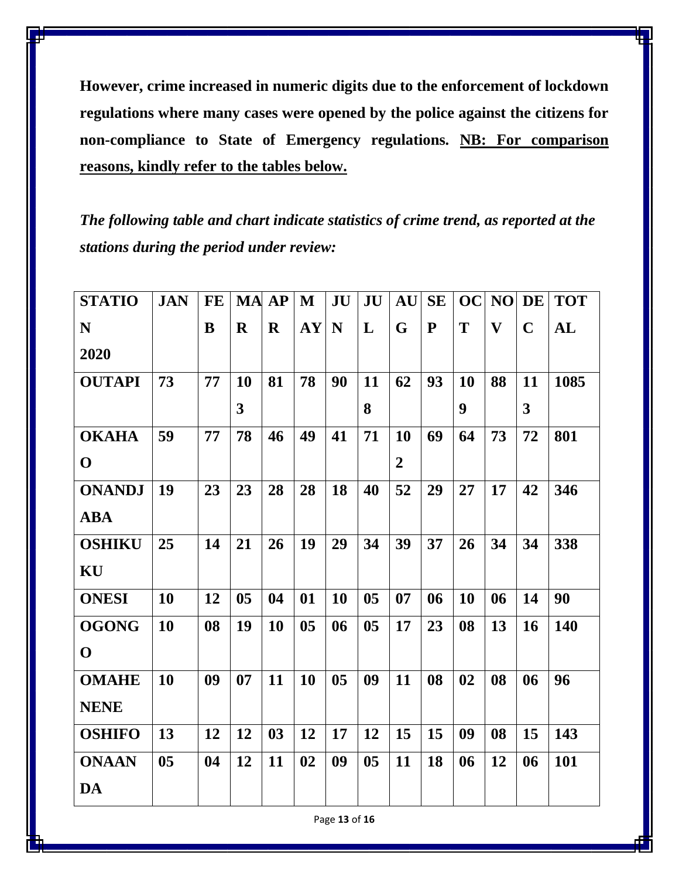**However, crime increased in numeric digits due to the enforcement of lockdown regulations where many cases were opened by the police against the citizens for non-compliance to State of Emergency regulations. NB: For comparison reasons, kindly refer to the tables below.**

*The following table and chart indicate statistics of crime trend, as reported at the stations during the period under review:*

| <b>STATIO</b> | <b>JAN</b>     | FE |                         | <b>MA AP</b> | $\mathbf{M}$   | JU             | JU             | AU               | <b>SE</b> | <b>OC</b> | NO                      | <b>DE</b>   | <b>TOT</b> |
|---------------|----------------|----|-------------------------|--------------|----------------|----------------|----------------|------------------|-----------|-----------|-------------------------|-------------|------------|
| ${\bf N}$     |                | B  | $\mathbf R$             | $\mathbf R$  | <b>AY</b>      | N              | L              | G                | ${\bf P}$ | T         | $\overline{\mathbf{V}}$ | $\mathbf C$ | AL         |
| 2020          |                |    |                         |              |                |                |                |                  |           |           |                         |             |            |
| <b>OUTAPI</b> | 73             | 77 | <b>10</b>               | 81           | 78             | 90             | 11             | 62               | 93        | 10        | 88                      | 11          | 1085       |
|               |                |    | $\overline{\mathbf{3}}$ |              |                |                | 8              |                  |           | 9         |                         | 3           |            |
| <b>OKAHA</b>  | 59             | 77 | 78                      | 46           | 49             | 41             | 71             | 10               | 69        | 64        | 73                      | 72          | 801        |
| $\mathbf 0$   |                |    |                         |              |                |                |                | $\boldsymbol{2}$ |           |           |                         |             |            |
| <b>ONANDJ</b> | 19             | 23 | 23                      | 28           | 28             | 18             | 40             | 52               | 29        | 27        | 17                      | 42          | 346        |
| <b>ABA</b>    |                |    |                         |              |                |                |                |                  |           |           |                         |             |            |
| <b>OSHIKU</b> | 25             | 14 | 21                      | 26           | 19             | 29             | 34             | 39               | 37        | 26        | 34                      | 34          | 338        |
| KU            |                |    |                         |              |                |                |                |                  |           |           |                         |             |            |
| <b>ONESI</b>  | 10             | 12 | 0 <sub>5</sub>          | 04           | 01             | 10             | 0 <sub>5</sub> | 07               | 06        | 10        | 06                      | 14          | 90         |
| <b>OGONG</b>  | <b>10</b>      | 08 | 19                      | 10           | 0 <sub>5</sub> | 06             | 05             | 17               | 23        | 08        | 13                      | <b>16</b>   | <b>140</b> |
| $\mathbf{O}$  |                |    |                         |              |                |                |                |                  |           |           |                         |             |            |
| <b>OMAHE</b>  | <b>10</b>      | 09 | 07                      | 11           | 10             | 0 <sub>5</sub> | 09             | 11               | 08        | 02        | 08                      | 06          | 96         |
| <b>NENE</b>   |                |    |                         |              |                |                |                |                  |           |           |                         |             |            |
| <b>OSHIFO</b> | 13             | 12 | 12                      | 03           | 12             | 17             | 12             | 15               | 15        | 09        | 08                      | 15          | 143        |
| <b>ONAAN</b>  | 0 <sub>5</sub> | 04 | 12                      | 11           | 02             | 09             | 0 <sub>5</sub> | 11               | 18        | 06        | 12                      | 06          | 101        |
| <b>DA</b>     |                |    |                         |              |                |                |                |                  |           |           |                         |             |            |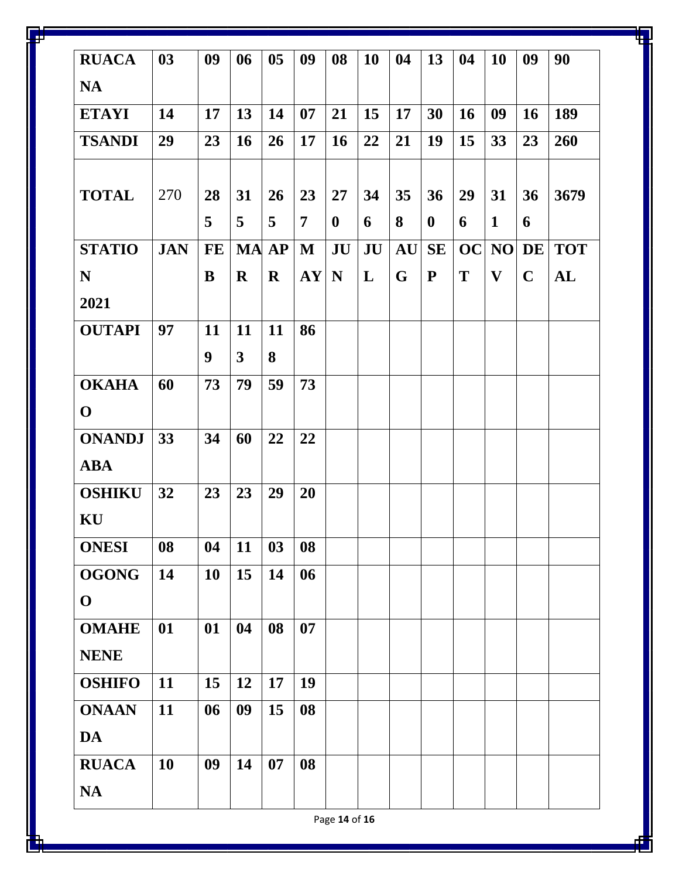| <b>RUACA</b>  | 03         | 09        | 06           | 0 <sub>5</sub> | 09             | 08               | <b>10</b> | 04 | 13        | 04        | <b>10</b>    | 09          | 90         |
|---------------|------------|-----------|--------------|----------------|----------------|------------------|-----------|----|-----------|-----------|--------------|-------------|------------|
| <b>NA</b>     |            |           |              |                |                |                  |           |    |           |           |              |             |            |
| <b>ETAYI</b>  | 14         | 17        | 13           | 14             | 07             | 21               | 15        | 17 | 30        | <b>16</b> | 09           | <b>16</b>   | 189        |
| <b>TSANDI</b> | 29         | 23        | <b>16</b>    | 26             | 17             | <b>16</b>        | 22        | 21 | 19        | 15        | 33           | 23          | 260        |
| <b>TOTAL</b>  | 270        | 28        | 31           | 26             | 23             | 27               | 34        | 35 | 36        | 29        | 31           | 36          | 3679       |
|               |            | 5         | 5            | 5              | $\overline{7}$ | $\boldsymbol{0}$ | 6         | 8  | $\bf{0}$  | 6         | $\mathbf{1}$ | 6           |            |
| <b>STATIO</b> | <b>JAN</b> | <b>FE</b> | <b>MA</b> AP |                | $\mathbf{M}$   | JU               | JU        | AU | <b>SE</b> | <b>OC</b> | NO           | DE          | <b>TOT</b> |
| N             |            | B         | $\mathbf R$  | $\mathbf R$    | AY             | N                | L         | G  | ${\bf P}$ | T         | $\mathbf{V}$ | $\mathbf C$ | AL         |
| 2021          |            |           |              |                |                |                  |           |    |           |           |              |             |            |
| <b>OUTAPI</b> | 97         | 11        | 11           | 11             | 86             |                  |           |    |           |           |              |             |            |
|               |            | 9         | $\mathbf{3}$ | 8              |                |                  |           |    |           |           |              |             |            |
| <b>OKAHA</b>  | 60         | 73        | 79           | 59             | 73             |                  |           |    |           |           |              |             |            |
| $\mathbf 0$   |            |           |              |                |                |                  |           |    |           |           |              |             |            |
| <b>ONANDJ</b> | 33         | 34        | 60           | 22             | 22             |                  |           |    |           |           |              |             |            |
| <b>ABA</b>    |            |           |              |                |                |                  |           |    |           |           |              |             |            |
| <b>OSHIKU</b> | 32         | 23        | 23           | 29             | 20             |                  |           |    |           |           |              |             |            |
| KU            |            |           |              |                |                |                  |           |    |           |           |              |             |            |
| <b>ONESI</b>  | 08         | 04        | 11           | 03             | 08             |                  |           |    |           |           |              |             |            |
| <b>OGONG</b>  | 14         | 10        | 15           | 14             | 06             |                  |           |    |           |           |              |             |            |
| $\mathbf 0$   |            |           |              |                |                |                  |           |    |           |           |              |             |            |
| <b>OMAHE</b>  | 01         | 01        | 04           | 08             | 07             |                  |           |    |           |           |              |             |            |
| <b>NENE</b>   |            |           |              |                |                |                  |           |    |           |           |              |             |            |
| <b>OSHIFO</b> | 11         | 15        | 12           | 17             | 19             |                  |           |    |           |           |              |             |            |
| <b>ONAAN</b>  | 11         | 06        | 09           | 15             | 08             |                  |           |    |           |           |              |             |            |
| DA            |            |           |              |                |                |                  |           |    |           |           |              |             |            |
| <b>RUACA</b>  | 10         | 09        | 14           | 07             | 08             |                  |           |    |           |           |              |             |            |
| <b>NA</b>     |            |           |              |                |                |                  |           |    |           |           |              |             |            |

Page **14** of **16**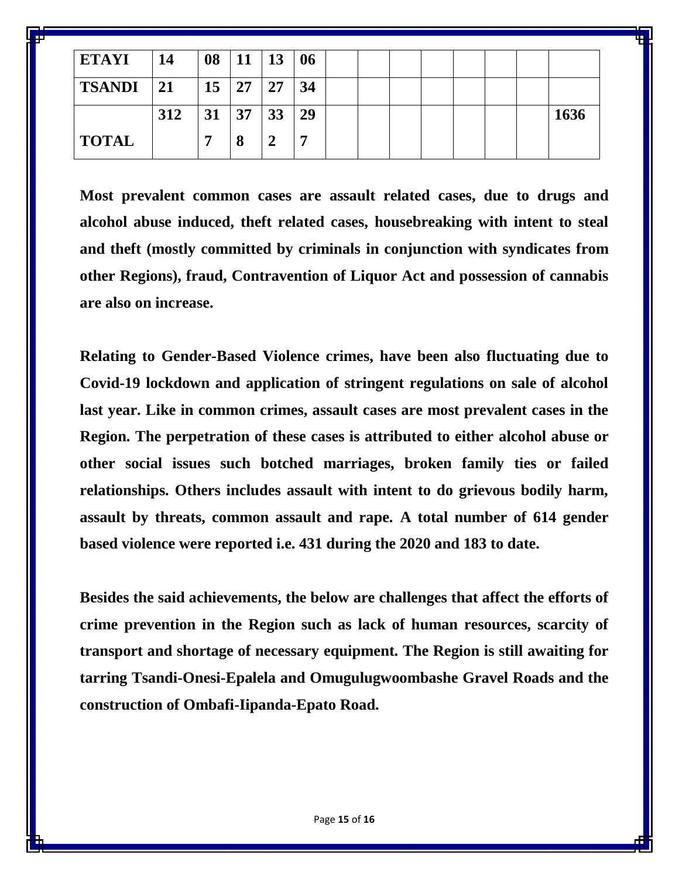| <b>ETAYI</b>  | 14  | 08        | 11 13 |    | 06 |  |  |  |      |
|---------------|-----|-----------|-------|----|----|--|--|--|------|
| $TSANDI$   21 |     | <b>15</b> | 27    | 27 | 34 |  |  |  |      |
|               | 312 | 31        | 37    | 33 | 29 |  |  |  | 1636 |
| <b>TOTAL</b>  |     | Ħ         | 8     |    |    |  |  |  |      |

**Most prevalent common cases are assault related cases, due to drugs and alcohol abuse induced, theft related cases, housebreaking with intent to steal and theft (mostly committed by criminals in conjunction with syndicates from other Regions), fraud, Contravention of Liquor Act and possession of cannabis are also on increase.**

**Relating to Gender-Based Violence crimes, have been also fluctuating due to Covid-19 lockdown and application of stringent regulations on sale of alcohol last year. Like in common crimes, assault cases are most prevalent cases in the Region. The perpetration of these cases is attributed to either alcohol abuse or other social issues such botched marriages, broken family ties or failed relationships. Others includes assault with intent to do grievous bodily harm, assault by threats, common assault and rape. A total number of 614 gender based violence were reported i.e. 431 during the 2020 and 183 to date.** 

**Besides the said achievements, the below are challenges that affect the efforts of crime prevention in the Region such as lack of human resources, scarcity of transport and shortage of necessary equipment. The Region is still awaiting for tarring Tsandi-Onesi-Epalela and Omugulugwoombashe Gravel Roads and the construction of Ombafi-Iipanda-Epato Road.**